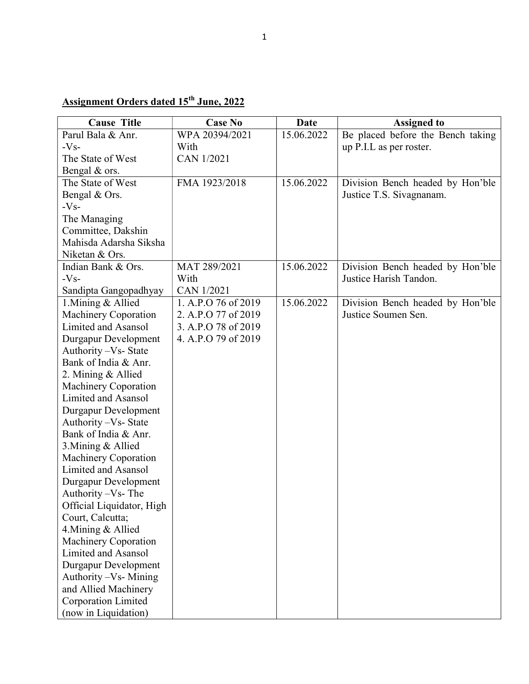## Assignment Orders dated 15<sup>th</sup> June, 2022

| <b>Cause Title</b>                                                                                                                                                                                                                                                                                                                                                                                                                                                                                                                                     | <b>Case No</b>      | <b>Date</b> | <b>Assigned to</b>                |
|--------------------------------------------------------------------------------------------------------------------------------------------------------------------------------------------------------------------------------------------------------------------------------------------------------------------------------------------------------------------------------------------------------------------------------------------------------------------------------------------------------------------------------------------------------|---------------------|-------------|-----------------------------------|
| Parul Bala & Anr.                                                                                                                                                                                                                                                                                                                                                                                                                                                                                                                                      | WPA 20394/2021      | 15.06.2022  | Be placed before the Bench taking |
| $-Vs-$                                                                                                                                                                                                                                                                                                                                                                                                                                                                                                                                                 | With                |             | up P.I.L as per roster.           |
| The State of West                                                                                                                                                                                                                                                                                                                                                                                                                                                                                                                                      | <b>CAN 1/2021</b>   |             |                                   |
| Bengal & ors.                                                                                                                                                                                                                                                                                                                                                                                                                                                                                                                                          |                     |             |                                   |
| The State of West                                                                                                                                                                                                                                                                                                                                                                                                                                                                                                                                      | FMA 1923/2018       | 15.06.2022  | Division Bench headed by Hon'ble  |
| Bengal & Ors.                                                                                                                                                                                                                                                                                                                                                                                                                                                                                                                                          |                     |             | Justice T.S. Sivagnanam.          |
| $-Vs-$                                                                                                                                                                                                                                                                                                                                                                                                                                                                                                                                                 |                     |             |                                   |
| The Managing                                                                                                                                                                                                                                                                                                                                                                                                                                                                                                                                           |                     |             |                                   |
| Committee, Dakshin                                                                                                                                                                                                                                                                                                                                                                                                                                                                                                                                     |                     |             |                                   |
| Mahisda Adarsha Siksha                                                                                                                                                                                                                                                                                                                                                                                                                                                                                                                                 |                     |             |                                   |
| Niketan & Ors.                                                                                                                                                                                                                                                                                                                                                                                                                                                                                                                                         |                     |             |                                   |
| Indian Bank & Ors.                                                                                                                                                                                                                                                                                                                                                                                                                                                                                                                                     | MAT 289/2021        | 15.06.2022  | Division Bench headed by Hon'ble  |
| $-Vs-$                                                                                                                                                                                                                                                                                                                                                                                                                                                                                                                                                 | With                |             | Justice Harish Tandon.            |
| Sandipta Gangopadhyay                                                                                                                                                                                                                                                                                                                                                                                                                                                                                                                                  | <b>CAN 1/2021</b>   |             |                                   |
| 1. Mining & Allied                                                                                                                                                                                                                                                                                                                                                                                                                                                                                                                                     | 1. A.P.O 76 of 2019 | 15.06.2022  | Division Bench headed by Hon'ble  |
| <b>Machinery Coporation</b>                                                                                                                                                                                                                                                                                                                                                                                                                                                                                                                            | 2. A.P.O 77 of 2019 |             | Justice Soumen Sen.               |
| Limited and Asansol                                                                                                                                                                                                                                                                                                                                                                                                                                                                                                                                    | 3. A.P.O 78 of 2019 |             |                                   |
| Durgapur Development                                                                                                                                                                                                                                                                                                                                                                                                                                                                                                                                   | 4. A.P.O 79 of 2019 |             |                                   |
| Authority - Vs- State                                                                                                                                                                                                                                                                                                                                                                                                                                                                                                                                  |                     |             |                                   |
| Bank of India & Anr.                                                                                                                                                                                                                                                                                                                                                                                                                                                                                                                                   |                     |             |                                   |
|                                                                                                                                                                                                                                                                                                                                                                                                                                                                                                                                                        |                     |             |                                   |
|                                                                                                                                                                                                                                                                                                                                                                                                                                                                                                                                                        |                     |             |                                   |
|                                                                                                                                                                                                                                                                                                                                                                                                                                                                                                                                                        |                     |             |                                   |
|                                                                                                                                                                                                                                                                                                                                                                                                                                                                                                                                                        |                     |             |                                   |
|                                                                                                                                                                                                                                                                                                                                                                                                                                                                                                                                                        |                     |             |                                   |
|                                                                                                                                                                                                                                                                                                                                                                                                                                                                                                                                                        |                     |             |                                   |
|                                                                                                                                                                                                                                                                                                                                                                                                                                                                                                                                                        |                     |             |                                   |
|                                                                                                                                                                                                                                                                                                                                                                                                                                                                                                                                                        |                     |             |                                   |
|                                                                                                                                                                                                                                                                                                                                                                                                                                                                                                                                                        |                     |             |                                   |
|                                                                                                                                                                                                                                                                                                                                                                                                                                                                                                                                                        |                     |             |                                   |
|                                                                                                                                                                                                                                                                                                                                                                                                                                                                                                                                                        |                     |             |                                   |
|                                                                                                                                                                                                                                                                                                                                                                                                                                                                                                                                                        |                     |             |                                   |
|                                                                                                                                                                                                                                                                                                                                                                                                                                                                                                                                                        |                     |             |                                   |
|                                                                                                                                                                                                                                                                                                                                                                                                                                                                                                                                                        |                     |             |                                   |
|                                                                                                                                                                                                                                                                                                                                                                                                                                                                                                                                                        |                     |             |                                   |
|                                                                                                                                                                                                                                                                                                                                                                                                                                                                                                                                                        |                     |             |                                   |
|                                                                                                                                                                                                                                                                                                                                                                                                                                                                                                                                                        |                     |             |                                   |
|                                                                                                                                                                                                                                                                                                                                                                                                                                                                                                                                                        |                     |             |                                   |
|                                                                                                                                                                                                                                                                                                                                                                                                                                                                                                                                                        |                     |             |                                   |
|                                                                                                                                                                                                                                                                                                                                                                                                                                                                                                                                                        |                     |             |                                   |
| 2. Mining & Allied<br><b>Machinery Coporation</b><br><b>Limited and Asansol</b><br>Durgapur Development<br>Authority - Vs- State<br>Bank of India & Anr.<br>3. Mining & Allied<br><b>Machinery Coporation</b><br><b>Limited and Asansol</b><br>Durgapur Development<br>Authority -Vs- The<br>Official Liquidator, High<br>Court, Calcutta;<br>4. Mining & Allied<br><b>Machinery Coporation</b><br>Limited and Asansol<br><b>Durgapur Development</b><br>Authority - Vs- Mining<br>and Allied Machinery<br>Corporation Limited<br>(now in Liquidation) |                     |             |                                   |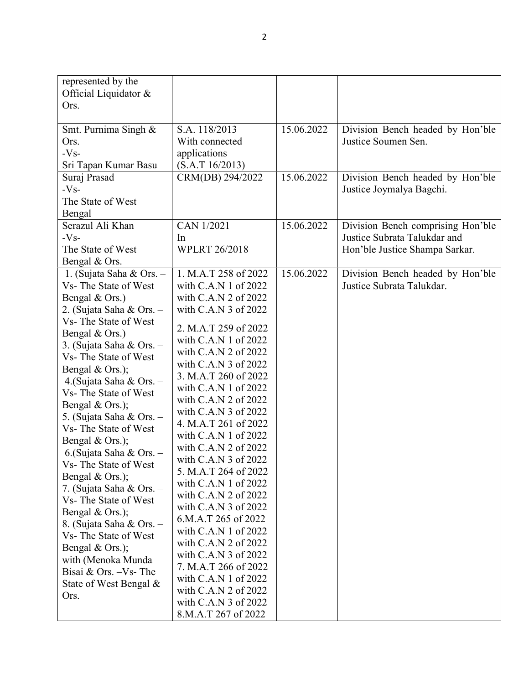| Official Liquidator &<br>Ors.<br>15.06.2022<br>Smt. Purnima Singh &<br>S.A. 118/2013<br>Division Bench headed by Hon'ble<br>With connected<br>Justice Soumen Sen.<br>Ors.<br>$-Vs-$<br>applications<br>Sri Tapan Kumar Basu<br>(S.A.T 16/2013)<br>15.06.2022<br>CRM(DB) 294/2022<br>Division Bench headed by Hon'ble<br>Suraj Prasad<br>$-Vs-$<br>Justice Joymalya Bagchi.<br>The State of West<br>Bengal<br>Serazul Ali Khan<br>CAN 1/2021<br>15.06.2022<br>Division Bench comprising Hon'ble<br>Justice Subrata Talukdar and<br>$-Vs-$<br>In<br><b>WPLRT 26/2018</b><br>The State of West<br>Hon'ble Justice Shampa Sarkar.<br>Bengal & Ors.<br>15.06.2022<br>1. M.A.T 258 of 2022<br>1. (Sujata Saha & Ors. $-$<br>Division Bench headed by Hon'ble<br>Vs-The State of West<br>Justice Subrata Talukdar.<br>with C.A.N 1 of 2022 |
|-------------------------------------------------------------------------------------------------------------------------------------------------------------------------------------------------------------------------------------------------------------------------------------------------------------------------------------------------------------------------------------------------------------------------------------------------------------------------------------------------------------------------------------------------------------------------------------------------------------------------------------------------------------------------------------------------------------------------------------------------------------------------------------------------------------------------------------|
|                                                                                                                                                                                                                                                                                                                                                                                                                                                                                                                                                                                                                                                                                                                                                                                                                                     |
|                                                                                                                                                                                                                                                                                                                                                                                                                                                                                                                                                                                                                                                                                                                                                                                                                                     |
|                                                                                                                                                                                                                                                                                                                                                                                                                                                                                                                                                                                                                                                                                                                                                                                                                                     |
|                                                                                                                                                                                                                                                                                                                                                                                                                                                                                                                                                                                                                                                                                                                                                                                                                                     |
|                                                                                                                                                                                                                                                                                                                                                                                                                                                                                                                                                                                                                                                                                                                                                                                                                                     |
|                                                                                                                                                                                                                                                                                                                                                                                                                                                                                                                                                                                                                                                                                                                                                                                                                                     |
|                                                                                                                                                                                                                                                                                                                                                                                                                                                                                                                                                                                                                                                                                                                                                                                                                                     |
|                                                                                                                                                                                                                                                                                                                                                                                                                                                                                                                                                                                                                                                                                                                                                                                                                                     |
|                                                                                                                                                                                                                                                                                                                                                                                                                                                                                                                                                                                                                                                                                                                                                                                                                                     |
|                                                                                                                                                                                                                                                                                                                                                                                                                                                                                                                                                                                                                                                                                                                                                                                                                                     |
|                                                                                                                                                                                                                                                                                                                                                                                                                                                                                                                                                                                                                                                                                                                                                                                                                                     |
|                                                                                                                                                                                                                                                                                                                                                                                                                                                                                                                                                                                                                                                                                                                                                                                                                                     |
|                                                                                                                                                                                                                                                                                                                                                                                                                                                                                                                                                                                                                                                                                                                                                                                                                                     |
|                                                                                                                                                                                                                                                                                                                                                                                                                                                                                                                                                                                                                                                                                                                                                                                                                                     |
|                                                                                                                                                                                                                                                                                                                                                                                                                                                                                                                                                                                                                                                                                                                                                                                                                                     |
|                                                                                                                                                                                                                                                                                                                                                                                                                                                                                                                                                                                                                                                                                                                                                                                                                                     |
| Bengal & Ors.)<br>with C.A.N 2 of 2022                                                                                                                                                                                                                                                                                                                                                                                                                                                                                                                                                                                                                                                                                                                                                                                              |
| 2. (Sujata Saha & Ors. -<br>with C.A.N 3 of 2022                                                                                                                                                                                                                                                                                                                                                                                                                                                                                                                                                                                                                                                                                                                                                                                    |
| Vs-The State of West<br>2. M.A.T 259 of 2022                                                                                                                                                                                                                                                                                                                                                                                                                                                                                                                                                                                                                                                                                                                                                                                        |
| Bengal & Ors.)<br>with C.A.N 1 of 2022                                                                                                                                                                                                                                                                                                                                                                                                                                                                                                                                                                                                                                                                                                                                                                                              |
| 3. (Sujata Saha & Ors. -<br>with C.A.N 2 of 2022                                                                                                                                                                                                                                                                                                                                                                                                                                                                                                                                                                                                                                                                                                                                                                                    |
| Vs-The State of West<br>with C.A.N 3 of 2022                                                                                                                                                                                                                                                                                                                                                                                                                                                                                                                                                                                                                                                                                                                                                                                        |
| Bengal & Ors.);<br>3. M.A.T 260 of 2022                                                                                                                                                                                                                                                                                                                                                                                                                                                                                                                                                                                                                                                                                                                                                                                             |
| 4. (Sujata Saha & Ors. -<br>with $C.A.N1$ of $2022$                                                                                                                                                                                                                                                                                                                                                                                                                                                                                                                                                                                                                                                                                                                                                                                 |
| Vs- The State of West<br>with C.A.N 2 of 2022                                                                                                                                                                                                                                                                                                                                                                                                                                                                                                                                                                                                                                                                                                                                                                                       |
| Bengal & Ors.);<br>with C.A.N 3 of 2022                                                                                                                                                                                                                                                                                                                                                                                                                                                                                                                                                                                                                                                                                                                                                                                             |
| 5. (Sujata Saha & Ors. -<br>4. M.A.T 261 of 2022                                                                                                                                                                                                                                                                                                                                                                                                                                                                                                                                                                                                                                                                                                                                                                                    |
| Vs- The State of West<br>with $C.A.N1$ of $2022$                                                                                                                                                                                                                                                                                                                                                                                                                                                                                                                                                                                                                                                                                                                                                                                    |
| Bengal & Ors.);<br>with C.A.N 2 of 2022                                                                                                                                                                                                                                                                                                                                                                                                                                                                                                                                                                                                                                                                                                                                                                                             |
| 6.(Sujata Saha & Ors. -<br>with $C.A.N3$ of $2022$                                                                                                                                                                                                                                                                                                                                                                                                                                                                                                                                                                                                                                                                                                                                                                                  |
| Vs- The State of West<br>5. M.A.T 264 of 2022                                                                                                                                                                                                                                                                                                                                                                                                                                                                                                                                                                                                                                                                                                                                                                                       |
| Bengal & Ors.);<br>with C.A.N 1 of 2022                                                                                                                                                                                                                                                                                                                                                                                                                                                                                                                                                                                                                                                                                                                                                                                             |
| 7. (Sujata Saha & Ors. -<br>with C.A.N 2 of 2022                                                                                                                                                                                                                                                                                                                                                                                                                                                                                                                                                                                                                                                                                                                                                                                    |
| Vs-The State of West<br>with C.A.N 3 of 2022                                                                                                                                                                                                                                                                                                                                                                                                                                                                                                                                                                                                                                                                                                                                                                                        |
| Bengal & Ors.);<br>6.M.A.T 265 of 2022                                                                                                                                                                                                                                                                                                                                                                                                                                                                                                                                                                                                                                                                                                                                                                                              |
| 8. (Sujata Saha & Ors. -<br>with C.A.N 1 of 2022                                                                                                                                                                                                                                                                                                                                                                                                                                                                                                                                                                                                                                                                                                                                                                                    |
| Vs-The State of West<br>with C.A.N 2 of 2022                                                                                                                                                                                                                                                                                                                                                                                                                                                                                                                                                                                                                                                                                                                                                                                        |
| Bengal & Ors.);<br>with C.A.N 3 of 2022                                                                                                                                                                                                                                                                                                                                                                                                                                                                                                                                                                                                                                                                                                                                                                                             |
| with (Menoka Munda<br>7. M.A.T 266 of 2022                                                                                                                                                                                                                                                                                                                                                                                                                                                                                                                                                                                                                                                                                                                                                                                          |
| Bisai & Ors. -Vs- The<br>with $C.A.N1$ of $2022$                                                                                                                                                                                                                                                                                                                                                                                                                                                                                                                                                                                                                                                                                                                                                                                    |
| State of West Bengal &<br>with C.A.N 2 of 2022                                                                                                                                                                                                                                                                                                                                                                                                                                                                                                                                                                                                                                                                                                                                                                                      |
| Ors.<br>with C.A.N 3 of 2022                                                                                                                                                                                                                                                                                                                                                                                                                                                                                                                                                                                                                                                                                                                                                                                                        |
| 8.M.A.T 267 of 2022                                                                                                                                                                                                                                                                                                                                                                                                                                                                                                                                                                                                                                                                                                                                                                                                                 |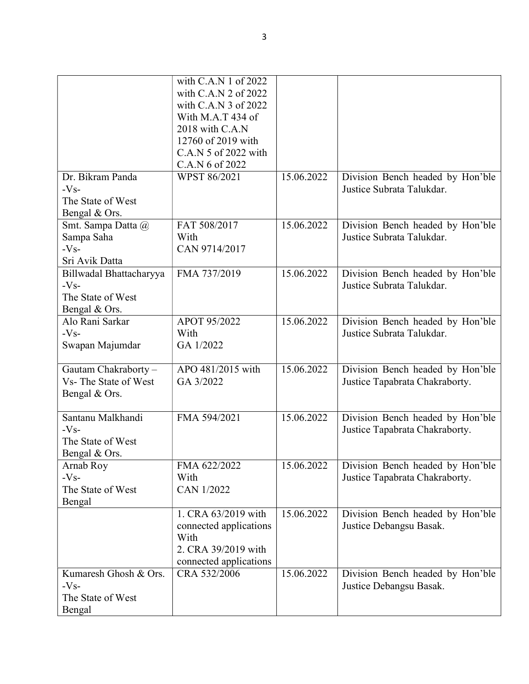|                         | with C.A.N 1 of 2022   |            |                                  |
|-------------------------|------------------------|------------|----------------------------------|
|                         | with C.A.N 2 of 2022   |            |                                  |
|                         | with C.A.N 3 of 2022   |            |                                  |
|                         | With M.A.T 434 of      |            |                                  |
|                         | 2018 with C.A.N        |            |                                  |
|                         | 12760 of 2019 with     |            |                                  |
|                         | C.A.N 5 of 2022 with   |            |                                  |
|                         | C.A.N 6 of 2022        |            |                                  |
| Dr. Bikram Panda        | WPST 86/2021           | 15.06.2022 | Division Bench headed by Hon'ble |
| $-Vs-$                  |                        |            | Justice Subrata Talukdar.        |
| The State of West       |                        |            |                                  |
|                         |                        |            |                                  |
| Bengal & Ors.           |                        |            |                                  |
| Smt. Sampa Datta @      | FAT 508/2017           | 15.06.2022 | Division Bench headed by Hon'ble |
| Sampa Saha              | With                   |            | Justice Subrata Talukdar.        |
| $-Vs-$                  | CAN 9714/2017          |            |                                  |
| Sri Avik Datta          |                        |            |                                  |
| Billwadal Bhattacharyya | FMA 737/2019           | 15.06.2022 | Division Bench headed by Hon'ble |
| $-Vs-$                  |                        |            | Justice Subrata Talukdar.        |
| The State of West       |                        |            |                                  |
| Bengal & Ors.           |                        |            |                                  |
| Alo Rani Sarkar         | APOT 95/2022           | 15.06.2022 | Division Bench headed by Hon'ble |
| $-Vs-$                  | With                   |            | Justice Subrata Talukdar.        |
| Swapan Majumdar         | GA 1/2022              |            |                                  |
|                         |                        |            |                                  |
| Gautam Chakraborty-     | APO 481/2015 with      | 15.06.2022 | Division Bench headed by Hon'ble |
| Vs-The State of West    | GA 3/2022              |            | Justice Tapabrata Chakraborty.   |
| Bengal & Ors.           |                        |            |                                  |
|                         |                        |            |                                  |
| Santanu Malkhandi       | FMA 594/2021           | 15.06.2022 | Division Bench headed by Hon'ble |
| $-Vs-$                  |                        |            | Justice Tapabrata Chakraborty.   |
| The State of West       |                        |            |                                  |
| Bengal & Ors.           |                        |            |                                  |
| Arnab Roy               | FMA 622/2022           | 15.06.2022 | Division Bench headed by Hon'ble |
| $-Vs-$                  | With                   |            | Justice Tapabrata Chakraborty.   |
| The State of West       | CAN 1/2022             |            |                                  |
| Bengal                  |                        |            |                                  |
|                         | 1. CRA 63/2019 with    | 15.06.2022 | Division Bench headed by Hon'ble |
|                         |                        |            |                                  |
|                         | connected applications |            | Justice Debangsu Basak.          |
|                         | With                   |            |                                  |
|                         | 2. CRA 39/2019 with    |            |                                  |
|                         | connected applications |            |                                  |
| Kumaresh Ghosh & Ors.   | CRA 532/2006           | 15.06.2022 | Division Bench headed by Hon'ble |
| $-Vs-$                  |                        |            | Justice Debangsu Basak.          |
| The State of West       |                        |            |                                  |
| Bengal                  |                        |            |                                  |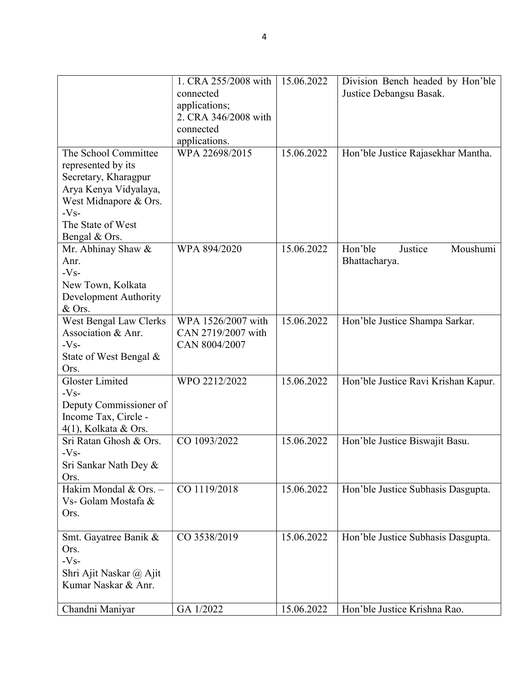|                                                                                                                                                                      | 1. CRA 255/2008 with<br>connected<br>applications;<br>2. CRA 346/2008 with<br>connected<br>applications. | 15.06.2022 | Division Bench headed by Hon'ble<br>Justice Debangsu Basak. |
|----------------------------------------------------------------------------------------------------------------------------------------------------------------------|----------------------------------------------------------------------------------------------------------|------------|-------------------------------------------------------------|
| The School Committee<br>represented by its<br>Secretary, Kharagpur<br>Arya Kenya Vidyalaya,<br>West Midnapore & Ors.<br>$-Vs-$<br>The State of West<br>Bengal & Ors. | WPA 22698/2015                                                                                           | 15.06.2022 | Hon'ble Justice Rajasekhar Mantha.                          |
| Mr. Abhinay Shaw &<br>Anr.<br>$-Vs-$<br>New Town, Kolkata<br>Development Authority<br>& Ors.                                                                         | WPA 894/2020                                                                                             | 15.06.2022 | Hon'ble<br>Moushumi<br>Justice<br>Bhattacharya.             |
| West Bengal Law Clerks<br>Association & Anr.<br>$-Vs-$<br>State of West Bengal &<br>Ors.                                                                             | WPA 1526/2007 with<br>CAN 2719/2007 with<br>CAN 8004/2007                                                | 15.06.2022 | Hon'ble Justice Shampa Sarkar.                              |
| Gloster Limited<br>$-Vs-$<br>Deputy Commissioner of<br>Income Tax, Circle -<br>4(1), Kolkata & Ors.                                                                  | WPO 2212/2022                                                                                            | 15.06.2022 | Hon'ble Justice Ravi Krishan Kapur.                         |
| Sri Ratan Ghosh & Ors.<br>$-Vs-$<br>Sri Sankar Nath Dey &<br>Ors.                                                                                                    | CO 1093/2022                                                                                             | 15.06.2022 | Hon'ble Justice Biswajit Basu.                              |
| Hakim Mondal & Ors. -<br>Vs- Golam Mostafa &<br>Ors.                                                                                                                 | CO 1119/2018                                                                                             | 15.06.2022 | Hon'ble Justice Subhasis Dasgupta.                          |
| Smt. Gayatree Banik &<br>Ors.<br>$-Vs-$<br>Shri Ajit Naskar @ Ajit<br>Kumar Naskar & Anr.                                                                            | CO 3538/2019                                                                                             | 15.06.2022 | Hon'ble Justice Subhasis Dasgupta.                          |
| Chandni Maniyar                                                                                                                                                      | GA 1/2022                                                                                                | 15.06.2022 | Hon'ble Justice Krishna Rao.                                |